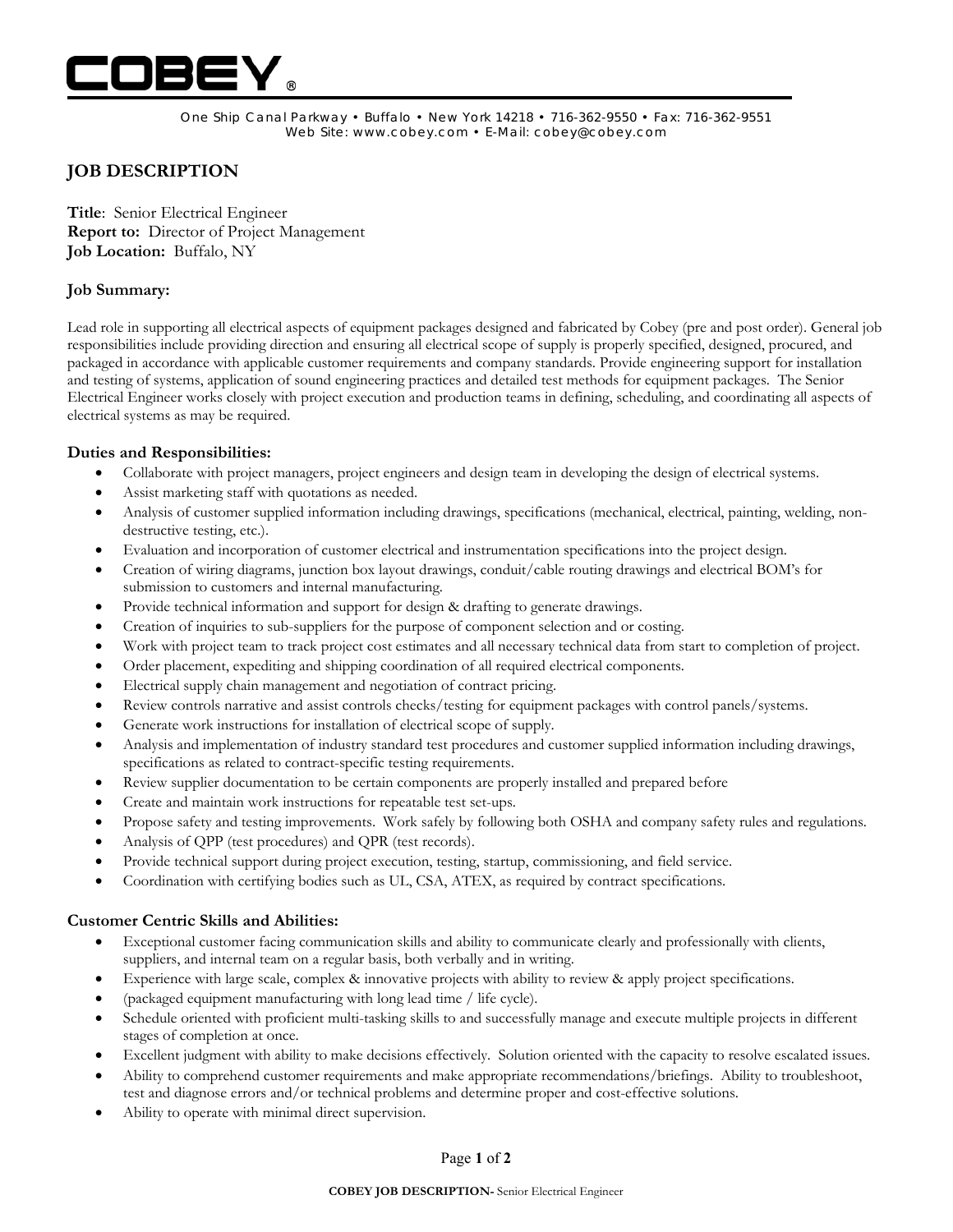

One Ship Canal Parkway • Buffalo • New York 14218 • 716-362-9550 • Fax: 716-362-9551 Web Site: www.cobey.com • E-Mail: cobey@cobey.com

# **JOB DESCRIPTION**

**Title**: Senior Electrical Engineer **Report to:** Director of Project Management **Job Location:** Buffalo, NY

# **Job Summary:**

Lead role in supporting all electrical aspects of equipment packages designed and fabricated by Cobey (pre and post order). General job responsibilities include providing direction and ensuring all electrical scope of supply is properly specified, designed, procured, and packaged in accordance with applicable customer requirements and company standards. Provide engineering support for installation and testing of systems, application of sound engineering practices and detailed test methods for equipment packages. The Senior Electrical Engineer works closely with project execution and production teams in defining, scheduling, and coordinating all aspects of electrical systems as may be required.

# **Duties and Responsibilities:**

- Collaborate with project managers, project engineers and design team in developing the design of electrical systems.
- Assist marketing staff with quotations as needed.
- Analysis of customer supplied information including drawings, specifications (mechanical, electrical, painting, welding, nondestructive testing, etc.).
- Evaluation and incorporation of customer electrical and instrumentation specifications into the project design.
- Creation of wiring diagrams, junction box layout drawings, conduit/cable routing drawings and electrical BOM's for submission to customers and internal manufacturing.
- Provide technical information and support for design & drafting to generate drawings.
- Creation of inquiries to sub-suppliers for the purpose of component selection and or costing.
- Work with project team to track project cost estimates and all necessary technical data from start to completion of project.
- Order placement, expediting and shipping coordination of all required electrical components.
- Electrical supply chain management and negotiation of contract pricing.
- Review controls narrative and assist controls checks/testing for equipment packages with control panels/systems.
- Generate work instructions for installation of electrical scope of supply.
- Analysis and implementation of industry standard test procedures and customer supplied information including drawings, specifications as related to contract-specific testing requirements.
- Review supplier documentation to be certain components are properly installed and prepared before
- Create and maintain work instructions for repeatable test set-ups.
- Propose safety and testing improvements. Work safely by following both OSHA and company safety rules and regulations.
- Analysis of QPP (test procedures) and QPR (test records).
- Provide technical support during project execution, testing, startup, commissioning, and field service.
- Coordination with certifying bodies such as UL, CSA, ATEX, as required by contract specifications.

#### **Customer Centric Skills and Abilities:**

- Exceptional customer facing communication skills and ability to communicate clearly and professionally with clients, suppliers, and internal team on a regular basis, both verbally and in writing.
- Experience with large scale, complex & innovative projects with ability to review & apply project specifications.
- (packaged equipment manufacturing with long lead time / life cycle).
- Schedule oriented with proficient multi-tasking skills to and successfully manage and execute multiple projects in different stages of completion at once.
- Excellent judgment with ability to make decisions effectively. Solution oriented with the capacity to resolve escalated issues.
- Ability to comprehend customer requirements and make appropriate recommendations/briefings. Ability to troubleshoot, test and diagnose errors and/or technical problems and determine proper and cost-effective solutions.
- Ability to operate with minimal direct supervision.

#### Page **1** of **2**